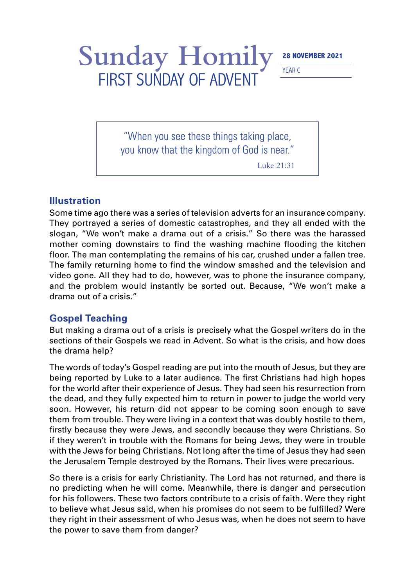## Sunday Homily<sup>28 NOVEMBER 2021</sup> FIRST SUNDAY OF ADVENT

YEAR C

"When you see these things taking place, you know that the kingdom of God is near."

Luke 21:31

## **Illustration**

Some time ago there was a series of television adverts for an insurance company. They portrayed a series of domestic catastrophes, and they all ended with the slogan, "We won't make a drama out of a crisis." So there was the harassed mother coming downstairs to find the washing machine flooding the kitchen floor. The man contemplating the remains of his car, crushed under a fallen tree. The family returning home to find the window smashed and the television and video gone. All they had to do, however, was to phone the insurance company, and the problem would instantly be sorted out. Because, "We won't make a drama out of a crisis."

## **Gospel Teaching**

But making a drama out of a crisis is precisely what the Gospel writers do in the sections of their Gospels we read in Advent. So what is the crisis, and how does the drama help?

The words of today's Gospel reading are put into the mouth of Jesus, but they are being reported by Luke to a later audience. The first Christians had high hopes for the world after their experience of Jesus. They had seen his resurrection from the dead, and they fully expected him to return in power to judge the world very soon. However, his return did not appear to be coming soon enough to save them from trouble. They were living in a context that was doubly hostile to them, firstly because they were Jews, and secondly because they were Christians. So if they weren't in trouble with the Romans for being Jews, they were in trouble with the Jews for being Christians. Not long after the time of Jesus they had seen the Jerusalem Temple destroyed by the Romans. Their lives were precarious.

So there is a crisis for early Christianity. The Lord has not returned, and there is no predicting when he will come. Meanwhile, there is danger and persecution for his followers. These two factors contribute to a crisis of faith. Were they right to believe what Jesus said, when his promises do not seem to be fulfilled? Were they right in their assessment of who Jesus was, when he does not seem to have the power to save them from danger?